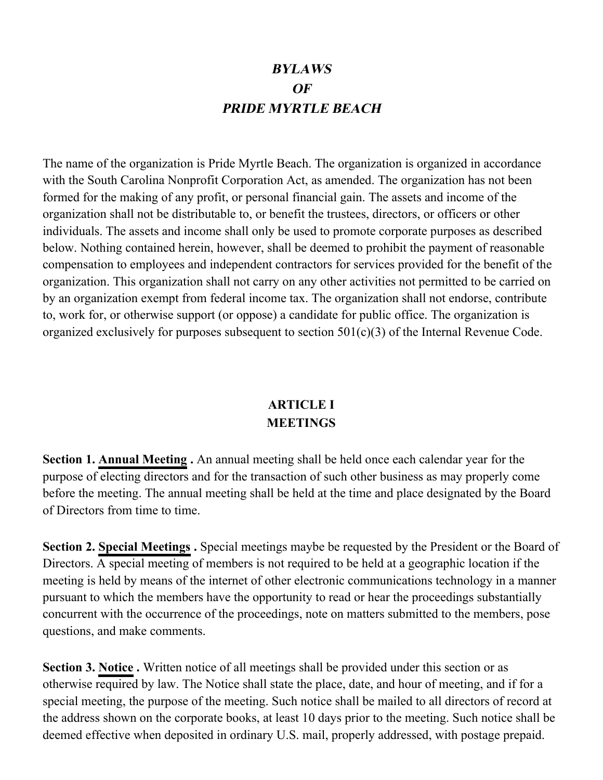# **BYLAWS OF PRIDE MYRTLE BEACH**

The name of the organization is Pride Myrtle Beach. The organization is organized in accordance with the South Carolina Nonprofit Corporation Act, as amended. The organization has not been formed for the making of any profit, or personal financial gain. The assets and income of the organization shall not be distributable to, or benefit the trustees, directors, or officers or other individuals. The assets and income shall only be used to promote corporate purposes as described below. Nothing contained herein, however, shall be deemed to prohibit the payment of reasonable compensation to employees and independent contractors for services provided for the benefit of the organization. This organization shall not carry on any other activities not permitted to be carried on by an organization exempt from federal income tax. The organization shall not endorse, contribute to, work for, or otherwise support (or oppose) a candidate for public office. The organization is organized exclusively for purposes subsequent to section  $501(c)(3)$  of the Internal Revenue Code.

#### **ARTICLE I MEETINGS**

**Section 1. Annual Meeting .** An annual meeting shall be held once each calendar year for the purpose of electing directors and for the transaction of such other business as may properly come before the meeting. The annual meeting shall be held at the time and place designated by the Board of Directors from time to time.

**Section 2. Special Meetings .** Special meetings maybe be requested by the President or the Board of Directors. A special meeting of members is not required to be held at a geographic location if the meeting is held by means of the internet of other electronic communications technology in a manner pursuant to which the members have the opportunity to read or hear the proceedings substantially concurrent with the occurrence of the proceedings, note on matters submitted to the members, pose questions, and make comments.

**Section 3. Notice .** Written notice of all meetings shall be provided under this section or as otherwise required by law. The Notice shall state the place, date, and hour of meeting, and if for a special meeting, the purpose of the meeting. Such notice shall be mailed to all directors of record at the address shown on the corporate books, at least 10 days prior to the meeting. Such notice shall be deemed effective when deposited in ordinary U.S. mail, properly addressed, with postage prepaid.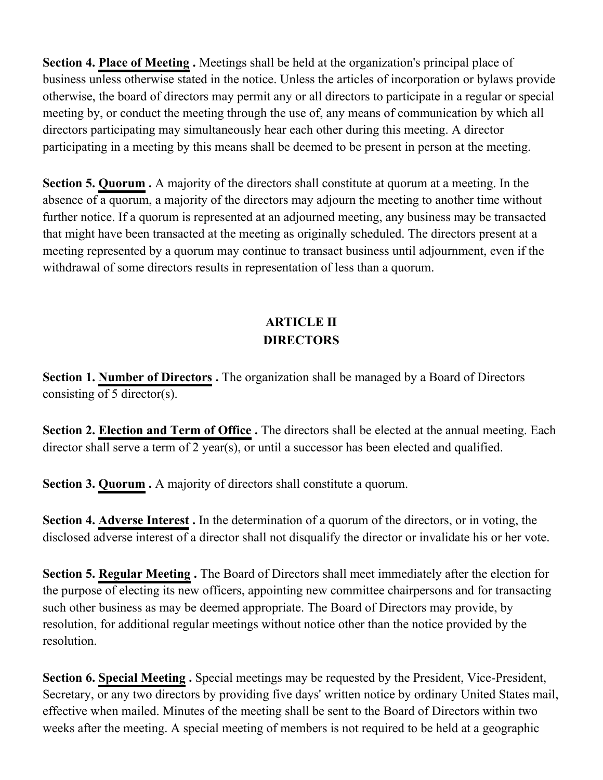**Section 4. Place of Meeting.** Meetings shall be held at the organization's principal place of business unless otherwise stated in the notice. Unless the articles of incorporation or bylaws provide otherwise, the board of directors may permit any or all directors to participate in a regular or special meeting by, or conduct the meeting through the use of, any means of communication by which all directors participating may simultaneously hear each other during this meeting. A director participating in a meeting by this means shall be deemed to be present in person at the meeting.

**Section 5. Quorum .** A majority of the directors shall constitute at quorum at a meeting. In the absence of a quorum, a majority of the directors may adjourn the meeting to another time without further notice. If a quorum is represented at an adjourned meeting, any business may be transacted that might have been transacted at the meeting as originally scheduled. The directors present at a meeting represented by a quorum may continue to transact business until adjournment, even if the withdrawal of some directors results in representation of less than a quorum.

# **ARTICLE II DIRECTORS**

**Section 1. Number of Directors.** The organization shall be managed by a Board of Directors consisting of 5 director(s).

**Section 2. Election and Term of Office.** The directors shall be elected at the annual meeting. Each director shall serve a term of 2 year(s), or until a successor has been elected and qualified.

**Section 3. Quorum .** A majority of directors shall constitute a quorum.

**Section 4. Adverse Interest .** In the determination of a quorum of the directors, or in voting, the disclosed adverse interest of a director shall not disqualify the director or invalidate his or her vote.

**Section 5. Regular Meeting.** The Board of Directors shall meet immediately after the election for the purpose of electing its new officers, appointing new committee chairpersons and for transacting such other business as may be deemed appropriate. The Board of Directors may provide, by resolution, for additional regular meetings without notice other than the notice provided by the resolution.

**Section 6. Special Meeting .** Special meetings may be requested by the President, Vice-President, Secretary, or any two directors by providing five days' written notice by ordinary United States mail, effective when mailed. Minutes of the meeting shall be sent to the Board of Directors within two weeks after the meeting. A special meeting of members is not required to be held at a geographic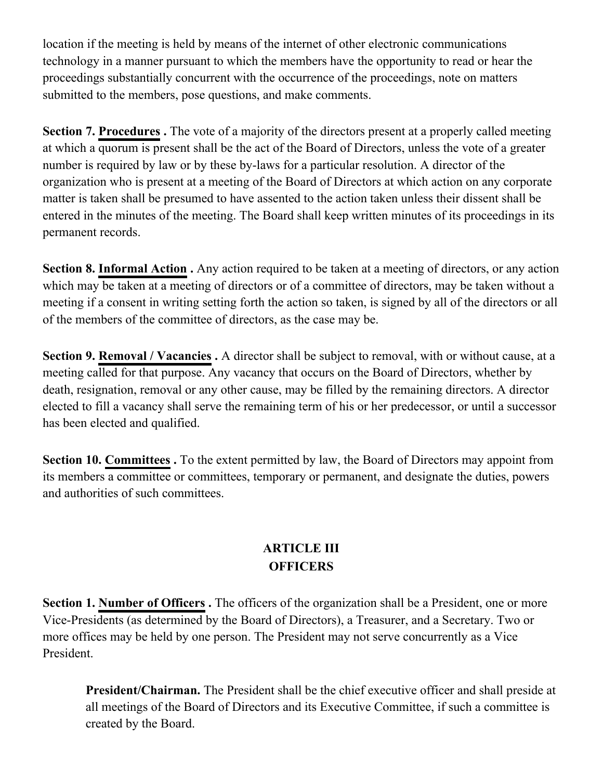location if the meeting is held by means of the internet of other electronic communications technology in a manner pursuant to which the members have the opportunity to read or hear the proceedings substantially concurrent with the occurrence of the proceedings, note on matters submitted to the members, pose questions, and make comments.

**Section 7. Procedures .** The vote of a majority of the directors present at a properly called meeting at which a quorum is present shall be the act of the Board of Directors, unless the vote of a greater number is required by law or by these by-laws for a particular resolution. A director of the organization who is present at a meeting of the Board of Directors at which action on any corporate matter is taken shall be presumed to have assented to the action taken unless their dissent shall be entered in the minutes of the meeting. The Board shall keep written minutes of its proceedings in its permanent records.

**Section 8. Informal Action .** Any action required to be taken at a meeting of directors, or any action which may be taken at a meeting of directors or of a committee of directors, may be taken without a meeting if a consent in writing setting forth the action so taken, is signed by all of the directors or all of the members of the committee of directors, as the case may be.

**Section 9. Removal / Vacancies .** A director shall be subject to removal, with or without cause, at a meeting called for that purpose. Any vacancy that occurs on the Board of Directors, whether by death, resignation, removal or any other cause, may be filled by the remaining directors. A director elected to fill a vacancy shall serve the remaining term of his or her predecessor, or until a successor has been elected and qualified.

**Section 10. Committees.** To the extent permitted by law, the Board of Directors may appoint from its members a committee or committees, temporary or permanent, and designate the duties, powers and authorities of such committees.

## **ARTICLE III OFFICERS**

**Section 1. Number of Officers.** The officers of the organization shall be a President, one or more Vice-Presidents (as determined by the Board of Directors), a Treasurer, and a Secretary. Two or more offices may be held by one person. The President may not serve concurrently as a Vice President.

**President/Chairman.** The President shall be the chief executive officer and shall preside at all meetings of the Board of Directors and its Executive Committee, if such a committee is created by the Board.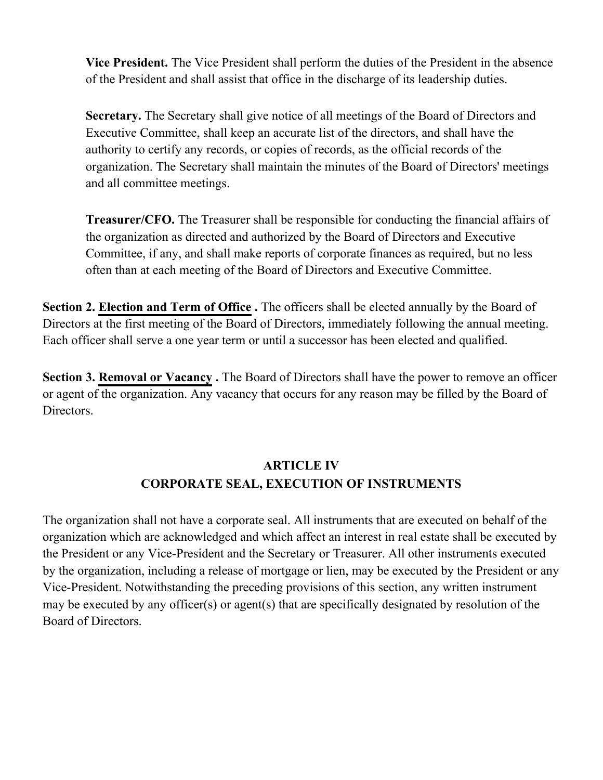**Vice President.** The Vice President shall perform the duties of the President in the absence of the President and shall assist that office in the discharge of its leadership duties.

**Secretary.** The Secretary shall give notice of all meetings of the Board of Directors and Executive Committee, shall keep an accurate list of the directors, and shall have the authority to certify any records, or copies of records, as the official records of the organization. The Secretary shall maintain the minutes of the Board of Directors' meetings and all committee meetings.

**Treasurer/CFO.** The Treasurer shall be responsible for conducting the financial affairs of the organization as directed and authorized by the Board of Directors and Executive Committee, if any, and shall make reports of corporate finances as required, but no less often than at each meeting of the Board of Directors and Executive Committee.

**Section 2. Election and Term of Office.** The officers shall be elected annually by the Board of Directors at the first meeting of the Board of Directors, immediately following the annual meeting. Each officer shall serve a one year term or until a successor has been elected and qualified.

**Section 3. Removal or Vacancy.** The Board of Directors shall have the power to remove an officer or agent of the organization. Any vacancy that occurs for any reason may be filled by the Board of Directors.

# **ARTICLE IV CORPORATE SEAL, EXECUTION OF INSTRUMENTS**

The organization shall not have a corporate seal. All instruments that are executed on behalf of the organization which are acknowledged and which affect an interest in real estate shall be executed by the President or any Vice-President and the Secretary or Treasurer. All other instruments executed by the organization, including a release of mortgage or lien, may be executed by the President or any Vice-President. Notwithstanding the preceding provisions of this section, any written instrument may be executed by any officer(s) or agent(s) that are specifically designated by resolution of the Board of Directors.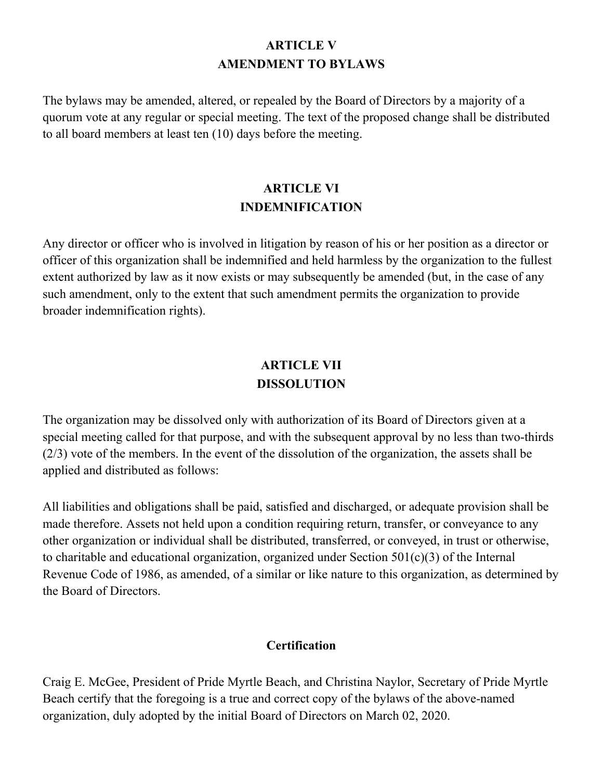#### **ARTICLE V AMENDMENT TO BYLAWS**

The bylaws may be amended, altered, or repealed by the Board of Directors by a majority of a quorum vote at any regular or special meeting. The text of the proposed change shall be distributed to all board members at least ten (10) days before the meeting.

## **ARTICLE VI INDEMNIFICATION**

Any director or officer who is involved in litigation by reason of his or her position as a director or officer of this organization shall be indemnified and held harmless by the organization to the fullest extent authorized by law as it now exists or may subsequently be amended (but, in the case of any such amendment, only to the extent that such amendment permits the organization to provide broader indemnification rights).

## **ARTICLE VII DISSOLUTION**

The organization may be dissolved only with authorization of its Board of Directors given at a special meeting called for that purpose, and with the subsequent approval by no less than two-thirds (2/3) vote of the members. In the event of the dissolution of the organization, the assets shall be applied and distributed as follows:

All liabilities and obligations shall be paid, satisfied and discharged, or adequate provision shall be made therefore. Assets not held upon a condition requiring return, transfer, or conveyance to any other organization or individual shall be distributed, transferred, or conveyed, in trust or otherwise, to charitable and educational organization, organized under Section 501(c)(3) of the Internal Revenue Code of 1986, as amended, of a similar or like nature to this organization, as determined by the Board of Directors.

#### **Certification**

Craig E. McGee, President of Pride Myrtle Beach, and Christina Naylor, Secretary of Pride Myrtle Beach certify that the foregoing is a true and correct copy of the bylaws of the above-named organization, duly adopted by the initial Board of Directors on March 02, 2020.